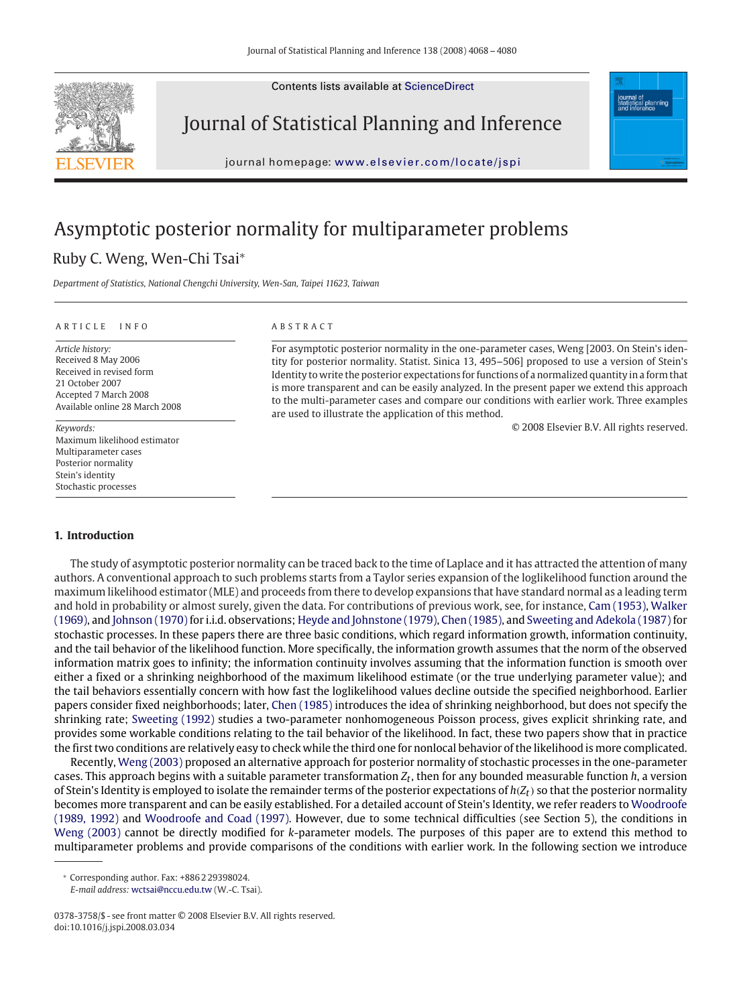

Journal of Statistical Planning and Inference

journal homepage: [www.elsevier.com/locate/jspi](http://www.elsevier.com/locate/jspi)

# Asymptotic posterior normality for multiparameter problems Ruby C. Weng, Wen-Chi Tsai<sup>∗</sup>

*Department of Statistics, National Chengchi University, Wen-San, Taipei 11623, Taiwan*

#### ARTICLE INFO ABSTRACT

*Article history:* Received 8 May 2006 Received in revised form 21 October 2007 Accepted 7 March 2008 Available online 28 March 2008

*Keywords:* Maximum likelihood estimator Multiparameter cases Posterior normality Stein's identity Stochastic processes

For asymptotic posterior normality in the one-parameter cases, Weng [2003. On Stein's identity for posterior normality. Statist. Sinica 13, 495--506] proposed to use a version of Stein's Identity to write the posterior expectations for functions of a normalized quantity in a form that is more transparent and can be easily analyzed. In the present paper we extend this approach to the multi-parameter cases and compare our conditions with earlier work. Three examples are used to illustrate the application of this method.

© 2008 Elsevier B.V. All rights reserved.

# **1. Introduction**

The study of asymptotic posterior normality can be traced back to the time of Laplace and it has attracted the attention of many authors. A conventional approach to such problems starts from a Taylor series expansion of the loglikelihood function around the maximum likelihood estimator (MLE) and proceeds from there to develop expansions that have standard normal as a leading term and hold in probability or almost surely, given the data. For contributions of previous work, see, for instance, [Cam \(1953\),](#page-12-0) Walker (1969), and [Johnson \(1970\)](#page-12-0) for i.i.d. observations; [Heyde and Johnstone \(1979\),](#page-12-0) [Chen \(1985\),](#page-12-0) and [Sweeting and Adekola \(1987\)](#page-12-0) for stochastic processes. In these papers there are three basic conditions, which regard information growth, information continuity, and the tail behavior of the likelihood function. More specifically, the information growth assumes that the norm of the observed information matrix goes to infinity; the information continuity involves assuming that the information function is smooth over either a fixed or a shrinking neighborhood of the maximum likelihood estimate (or the true underlying parameter value); and the tail behaviors essentially concern with how fast the loglikelihood values decline outside the specified neighborhood. Earlier papers consider fixed neighborhoods; later, [Chen \(1985\)](#page-12-0) introduces the idea of shrinking neighborhood, but does not specify the shrinking rate; [Sweeting \(1992\)](#page-12-0) studies a two-parameter nonhomogeneous Poisson process, gives explicit shrinking rate, and provides some workable conditions relating to the tail behavior of the likelihood. In fact, these two papers show that in practice the first two conditions are relatively easy to check while the third one for nonlocal behavior of the likelihood is more complicated.

Recently, [Weng \(2003\)](#page-12-0) proposed an alternative approach for posterior normality of stochastic processes in the one-parameter cases. This approach begins with a suitable parameter transformation *Zt*, then for any bounded measurable function *h*, a version of Stein's Identity is employed to isolate the remainder terms of the posterior expectations of  $h(Z_t)$  so that the posterior normality becomes more transparent and can be easily established. For a detailed account of Stein's Identity, we refer readers to Woodroofe (1989, 1992) and [Woodroofe and Coad \(1997\).](#page-12-0) However, due to some technical difficulties (see Section 5), the conditions in [Weng \(2003\)](#page-12-0) cannot be directly modified for *k*-parameter models. The purposes of this paper are to extend this method to multiparameter problems and provide comparisons of the conditions with earlier work. In the following section we introduce

<sup>∗</sup> Corresponding author. Fax: +886 2 29398024.

*E-mail address:* [wctsai@nccu.edu.tw](mailto:wctsai@nccu.edu.tw) (W.-C. Tsai).

<sup>0378-3758/\$ -</sup> see front matter © 2008 Elsevier B.V. All rights reserved. doi:10.1016/j.jspi.2008.03.034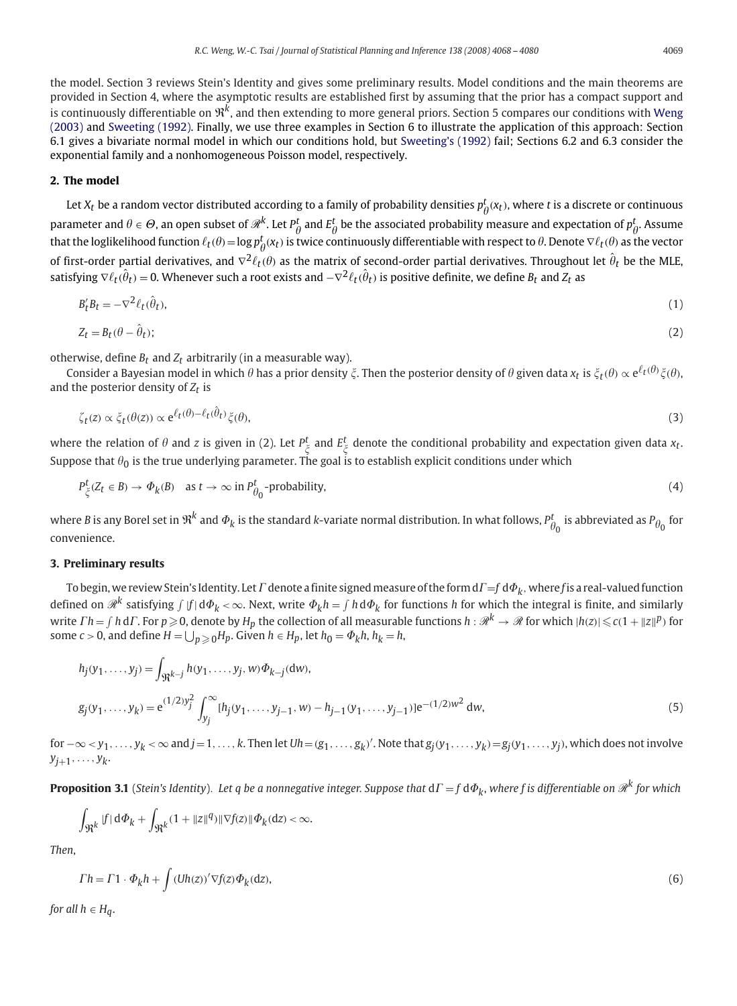the model. Section 3 reviews Stein's Identity and gives some preliminary results. Model conditions and the main theorems are provided in Section 4, where the asymptotic results are established first by assuming that the prior has a compact support and is continuously differentiable on R*k*, and then extending to more general priors. Section 5 compares our conditions with [Weng](#page-12-0) [\(2003\)](#page-12-0) and [Sweeting \(1992\).](#page-12-0) Finally, we use three examples in Section 6 to illustrate the application of this approach: Section 6.1 gives a bivariate normal model in which our conditions hold, but [Sweeting's \(1992\)](#page-12-0) fail; Sections 6.2 and 6.3 consider the exponential family and a nonhomogeneous Poisson model, respectively.

#### **2. The model**

Let  $X_t$  be a random vector distributed according to a family of probability densities  $p_\theta^t(x_t)$ , where  $t$  is a discrete or continuous parameter and  $\theta \in \Theta$ , an open subset of  $\mathscr{R}^k$ . Let  $P^t_\theta$  and  $E^t_\theta$  be the associated probability measure and expectation of  $p^t_\theta$ . Assume that the loglikelihood function  $\ell_t(\theta) = \log p_\theta^t(x_t)$  is twice continuously differentiable with respect to  $\theta$ . Denote  $\nabla \ell_t(\theta)$  as the vector of first-order partial derivatives, and  $\nabla^2\ell_t(\theta)$  as the matrix of second-order partial derivatives. Throughout let  $\hat\theta_t$  be the MLE, satisfying  $\nabla\ell_t(\hat\theta_t)=0.$  Whenever such a root exists and  $-\nabla^2\ell_t(\hat\theta_t)$  is positive definite, we define  $B_t$  and  $Z_t$  as

$$
B_t' B_t = -\nabla^2 \ell_t(\hat{\theta}_t),\tag{1}
$$

$$
Z_t = B_t(\theta - \hat{\theta}_t); \tag{2}
$$

otherwise, define  $B_t$  and  $Z_t$  arbitrarily (in a measurable way).

Consider a Bayesian model in which  $\theta$  has a prior density  $\xi$ . Then the posterior density of  $\theta$  given data  $x_t$  is  $\xi_t(\theta) \propto$  e $^{\ell_t(\theta)}\xi(\theta),$ and the posterior density of  $Z_t$  is

$$
\zeta_t(z) \propto \xi_t(\theta(z)) \propto e^{\ell_t(\theta) - \ell_t(\hat{\theta}_t)} \xi(\theta),\tag{3}
$$

where the relation of  $\theta$  and  $z$  is given in (2). Let  $P^t_\xi$  and  $E^t_\xi$  denote the conditional probability and expectation given data  $x_t$ . Suppose that  $\theta_0$  is the true underlying parameter. The goal is to establish explicit conditions under which

$$
P^{\mathbf{t}}_{\zeta}(Z_{\mathbf{t}} \in B) \to \Phi_{k}(B) \quad \text{as } \mathbf{t} \to \infty \text{ in } P^{\mathbf{t}}_{\theta_{0}}-\text{probability,}
$$
\n
$$
\tag{4}
$$

where *B* is any Borel set in  $\mathfrak{R}^k$  and  $\varPhi_k$  is the standard *k*-variate normal distribution. In what follows,  $P^t_{\theta_0}$  is abbreviated as  $P_{\theta_0}$  for convenience.

#### **3. Preliminary results**

To begin, we review Stein's Identity. Let  $\Gamma$  denote a finite signed measure of the form  $d\Gamma = f d\Phi_k$ , where f is a real-valued function defined on  $\mathscr{R}^k$  satisfying  $\int|f|\,d\varPhi_k<\infty.$  Next, write  $\varPhi_kh=\int h\,d\varPhi_k$  for functions  $h$  for which the integral is finite, and similarly write  $\varGamma h=\int h\,\mathrm{d}\varGamma$ . For  $p\geqslant0$ , denote by  $H_p$  the collection of all measurable functions  $h:\mathscr{R}^k\to\mathscr{R}$  for which  $|h(z)|\leqslant c(1+\|z\|^p)$  for some  $c > 0$ , and define  $H = \bigcup_{p \geqslant 0} H_p$ . Given  $h \in H_p$ , let  $h_0 = \Phi_k h$ ,  $h_k = h$ ,

$$
h_j(y_1, ..., y_j) = \int_{\mathfrak{R}^{k-j}} h(y_1, ..., y_j, w) \Phi_{k-j}(\mathrm{d}w),
$$
  
\n
$$
g_j(y_1, ..., y_k) = e^{(1/2)y_j^2} \int_{y_j}^{\infty} [h_j(y_1, ..., y_{j-1}, w) - h_{j-1}(y_1, ..., y_{j-1})] e^{-(1/2)w^2} \mathrm{d}w,
$$
\n(5)

for −∞*< y*1*,...,yk <sup>&</sup>lt;*<sup>∞</sup> and *<sup>j</sup>*=1*,...,k*. Then let *Uh*=*(g*1*,...,gk)* . Note that *gj(y*1*,...,yk)*=*gj(y*1*,...,yj)*, which does not involve  $y_{i+1},\ldots,y_k$ .

**Proposition 3.1** (*Stein's Identity*). Let q be a nonnegative integer. Suppose that  $d\Gamma = f d\Phi_k$ , where f is differentiable on  $\mathcal{R}^k$  for which

$$
\int_{\mathfrak{R}^k} |f| \, \mathrm{d}\Phi_k + \int_{\mathfrak{R}^k} (1 + \|z\|^q) \|\nabla f(z)\| \Phi_k(\mathrm{d}z) < \infty.
$$

*Then*,

$$
\Gamma h = \Gamma 1 \cdot \Phi_k h + \int (Uh(z))' \nabla f(z) \Phi_k(dz), \tag{6}
$$

*for all*  $h \in H_a$ .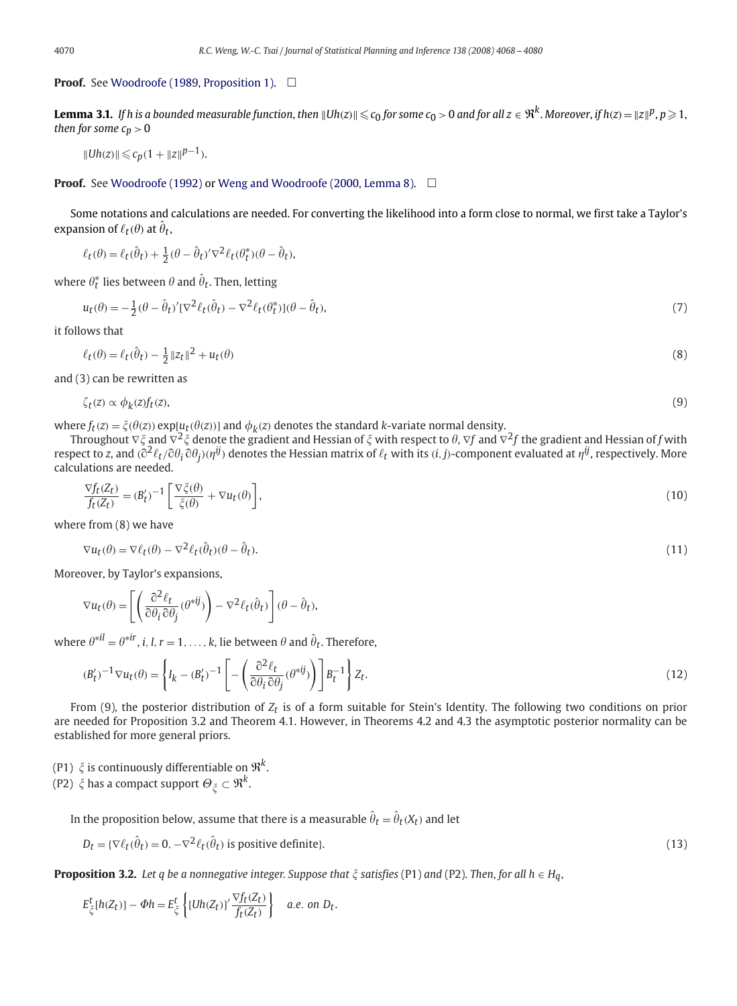**Proof.** See [Woodroofe \(1989, Proposition 1\).](#page-12-0) □

**Lemma 3.1.** If h is a bounded measurable function, then  $\|$ Uh(z) $\|\leqslant c_0$  for some  $c_0>0$  and for all  $z\in\Re^k$ . Moreover, if h(z) =  $\|z\|^p$ ,  $p\geqslant 1$ , *then for some*  $c_p > 0$ 

 $||Uh(z)|| \leqslant c_p(1 + ||z||^{p-1}).$ 

# **Proof.** See [Woodroofe \(1992\)](#page-12-0) or [Weng and Woodroofe \(2000, Lemma 8\).](#page-12-0) □

Some notations and calculations are needed. For converting the likelihood into a form close to normal, we first take a Taylor's expansion of  $\ell_t(\theta)$  at  $\hat{\theta}_t$ ,

$$
\ell_t(\theta) = \ell_t(\hat{\theta}_t) + \frac{1}{2}(\theta - \hat{\theta}_t)'\nabla^2 \ell_t(\theta_t^*)(\theta - \hat{\theta}_t),
$$

where  $\theta_{\boldsymbol{t}}^*$  lies between  $\theta$  and  $\hat{\theta}_{\boldsymbol{t}}.$  Then, letting

$$
u_t(\theta) = -\frac{1}{2}(\theta - \hat{\theta}_t)'[\nabla^2 \ell_t(\hat{\theta}_t) - \nabla^2 \ell_t(\theta_t^*)](\theta - \hat{\theta}_t),\tag{7}
$$

it follows that

$$
\ell_t(\theta) = \ell_t(\hat{\theta}_t) - \frac{1}{2} ||z_t||^2 + u_t(\theta)
$$
\n<sup>(8)</sup>

and (3) can be rewritten as

$$
\zeta_t(z) \propto \phi_k(z) f_t(z),\tag{9}
$$

where  $f_t(z) = \xi(\theta(z))$  exp[ $u_t(\theta(z))$ ] and  $\phi_k(z)$  denotes the standard *k*-variate normal density.

Throughout  $\nabla \xi$  and  $\nabla^2 \xi$  denote the gradient and Hessian of  $\xi$  with respect to  $\theta, \nabla f$  and  $\nabla^2 f$  the gradient and Hessian of  $f$  with respect to *z*, and  $(\partial^2\ell_t/\partial\theta_i\partial\theta_j)(\eta^{ij})$  denotes the Hessian matrix of  $\ell_t$  with its  $(i,j)$ -component evaluated at  $\eta^{ij}$ , respectively. More calculations are needed.

$$
\frac{\nabla f_t(Z_t)}{f_t(Z_t)} = (B'_t)^{-1} \left[ \frac{\nabla \xi(\theta)}{\xi(\theta)} + \nabla u_t(\theta) \right],\tag{10}
$$

where from (8) we have

$$
\nabla u_t(\theta) = \nabla \ell_t(\theta) - \nabla^2 \ell_t(\hat{\theta}_t)(\theta - \hat{\theta}_t). \tag{11}
$$

Moreover, by Taylor's expansions,

$$
\nabla u_t(\theta) = \left[ \left( \frac{\partial^2 \ell_t}{\partial \theta_i \partial \theta_j} (\theta^{*ij}) \right) - \nabla^2 \ell_t(\hat{\theta}_t) \right] (\theta - \hat{\theta}_t),
$$

where  $\theta^{*il} = \theta^{*ir}$ , *i*, *l*, *r* = 1, . . . , *k*, lie between  $\theta$  and  $\hat{\theta}_t$ . Therefore,

$$
(B'_t)^{-1} \nabla u_t(\theta) = \left\{ I_k - (B'_t)^{-1} \left[ -\left( \frac{\partial^2 \ell_t}{\partial \theta_i \partial \theta_j} (\theta^{*ij}) \right) \right] B_t^{-1} \right\} Z_t.
$$
 (12)

From (9), the posterior distribution of *Zt* is of a form suitable for Stein's Identity. The following two conditions on prior are needed for Proposition 3.2 and Theorem 4.1. However, in Theorems 4.2 and 4.3 the asymptotic posterior normality can be established for more general priors.

- (P1)  $\xi$  is continuously differentiable on  $\mathfrak{R}^k$ .
- (P2)  $\xi$  has a compact support  $\Theta_{\xi} \subset \mathfrak{R}^k$ .

In the proposition below, assume that there is a measurable  $\hat{\theta}_t = \hat{\theta}_t(X_t)$  and let

$$
D_t = \{ \nabla \ell_t(\hat{\theta}_t) = 0, -\nabla^2 \ell_t(\hat{\theta}_t) \text{ is positive definite} \}. \tag{13}
$$

**Proposition 3.2.** *Let q be a nonnegative integer. Suppose that*  $\xi$  *satisfies* (P1) *and* (P2). *Then, for all*  $h \in H_q$ ,

$$
E_{\xi}^{t}[h(Z_{t})] - \Phi h = E_{\xi}^{t}\left\{ [Uh(Z_{t})]' \frac{\nabla f_{t}(Z_{t})}{f_{t}(Z_{t})} \right\} \quad a.e. on \ D_{t}.
$$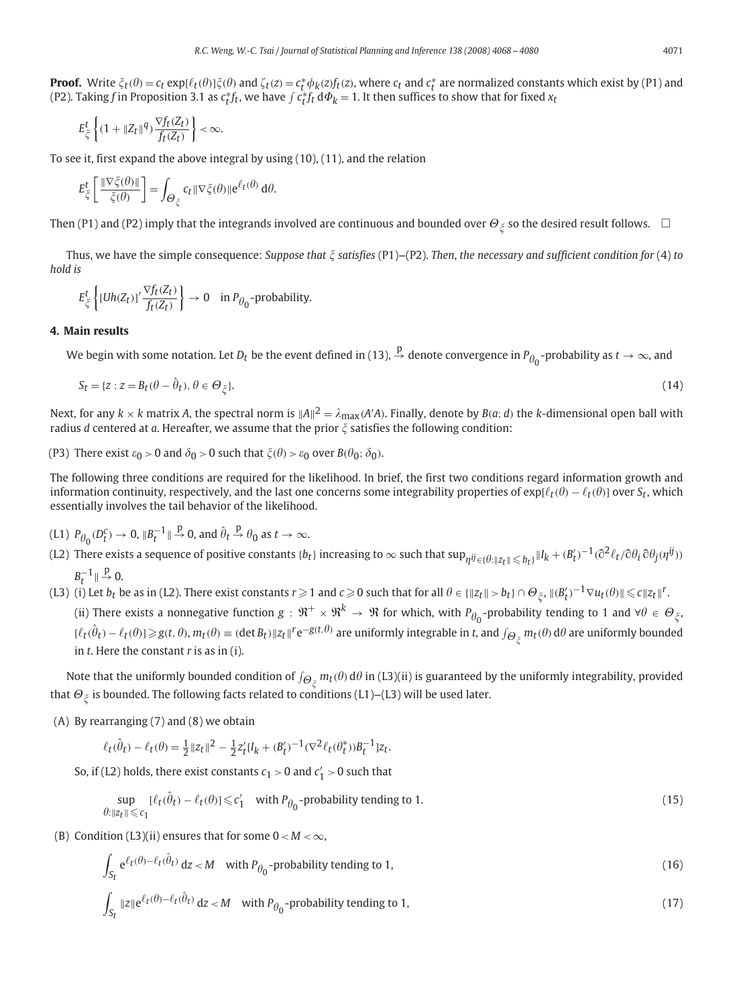$$
E_{\xi}^{t}\left\{(1+\|Z_t\|^q)\frac{\nabla f_t(Z_t)}{f_t(Z_t)}\right\}<\infty.
$$

To see it, first expand the above integral by using (10), (11), and the relation

$$
E_{\xi}^{t}\left[\frac{\|\nabla \xi(\theta)\|}{\xi(\theta)}\right] = \int_{\Theta_{\xi}} c_{t} \|\nabla \xi(\theta)\| e^{\ell_{t}(\theta)} d\theta.
$$

Then (P1) and (P2) imply that the integrands involved are continuous and bounded over  $\Theta_{\xi}$  so the desired result follows.  $\Box$ 

Thus, we have the simple consequence: *Suppose that satisfies* (P1)--(P2). *Then*, *the necessary and sufficient condition for* (4) *to hold is*

$$
E_{\zeta}^{t}\left\{[Uh(Z_t)]'\frac{\nabla f_t(Z_t)}{f_t(Z_t)}\right\} \to 0 \quad \text{in } P_{\theta_0}\text{-probability.}
$$

### **4. Main results**

We begin with some notation. Let  $D_t$  be the event defined in (13),  $\stackrel{p}{\to}$  denote convergence in  $P_{\theta_0}$ -probability as  $t\to\infty$ , and

$$
S_t = \{z : z = B_t(\theta - \hat{\theta}_t), \theta \in \Theta_{\xi}\}.
$$
\n(14)

Next, for any  $k\times k$  matrix A, the spectral norm is  $\|A\|^2=\lambda_{\max}(A'A)$ . Finally, denote by  $B(a;d)$  the  $k$ -dimensional open ball with radius *d* centered at *a*. Hereafter, we assume that the prior  $\zeta$  satisfies the following condition:

(P3) There exist  $\varepsilon_0 > 0$  and  $\delta_0 > 0$  such that  $\xi(\theta) > \varepsilon_0$  over  $B(\theta_0; \delta_0)$ .

The following three conditions are required for the likelihood. In brief, the first two conditions regard information growth and information continuity, respectively, and the last one concerns some integrability properties of  $\exp[\ell_t(\theta)-\ell_t(\theta)]$  over  $S_t$ , which essentially involves the tail behavior of the likelihood.

- (L1)  $P_{\theta_0}(D_t^c) \to 0$ ,  $||B_t^{-1}|| \stackrel{p}{\to} 0$ , and  $\hat{\theta}_t \stackrel{p}{\to} \theta_0$  as  $t \to \infty$ .
- (L2) There exists a sequence of positive constants  $\{b_t\}$  increasing to  $\infty$  such that  $\sup_{\eta^{ij}\in\{\theta:\|z_t\|\leqslant b_t\}}\|I_k+(\beta_t')^{-1}(\partial^2\ell_t/\partial\theta_i\partial\theta_j(\eta^{ij}))$  $B_t^{-1} \parallel \frac{p}{\rightarrow} 0.$
- $\|L(z)\|$  (i) Let  $b_t$  be as in (L2). There exist constants  $r \geqslant 1$  and  $c \geqslant 0$  such that for all  $\theta \in \{\|z_t\| > b_t\} \cap \Theta_{\xi}$ ,  $\|(B'_t)^{-1} \nabla u_t(\theta)\| \leqslant c\|z_t\|^r$ . (ii) There exists a nonnegative function  $g: \mathfrak{R}^+ \times \mathfrak{R}^k \to \mathfrak{R}$  for which, with  $P_{\theta_0}$ -probability tending to 1 and ∀ $\theta \in \Theta_{\xi}$ ,  $[\ell_t(\hat{\theta}_t) - \ell_t(\theta)] \geq g(t, \theta), m_t(\theta) \equiv (\det B_t) \|z_t\|^r \mathrm{e}^{-g(t, \theta)}$  are uniformly integrable in t, and  $\int_{\Theta_{\xi}^{\times}} m_t(\theta) d\theta$  are uniformly bounded in *t*. Here the constant *r* is as in (i).

Note that the uniformly bounded condition of  $\int_{\Theta_\xi^c}$   $m_t(\theta)$  d $\theta$  in (L3)(ii) is guaranteed by the uniformly integrability, provided that  $\Theta_{\xi}$  is bounded. The following facts related to conditions (L1)–(L3) will be used later.

(A) By rearranging (7) and (8) we obtain

$$
\ell_t(\hat{\theta}_t) - \ell_t(\theta) = \frac{1}{2} ||z_t||^2 - \frac{1}{2} z_t' [I_k + (B_t')^{-1} (\nabla^2 \ell_t(\theta_t^*)) B_t^{-1}] z_t.
$$

So, if (L2) holds, there exist constants  $c_1 > 0$  and  $c_1' > 0$  such that

$$
\sup_{\theta:\|z_t\|\leq c_1}[\ell_t(\hat{\theta}_t)-\ell_t(\theta)]\leq c'_1 \quad \text{with } P_{\theta_0}\text{-probability tending to 1.}
$$
\n(15)

(B) Condition (L3)(ii) ensures that for some  $0 < M < \infty$ ,

$$
\int_{S_t} e^{\ell_t(\theta) - \ell_t(\hat{\theta}_t)} dz < M \quad \text{with } P_{\theta_0} \text{-probability tending to 1,}
$$
\n(16)

$$
\int_{S_t} \|z\| e^{\ell_t(\theta) - \ell_t(\hat{\theta}_t)} dz < M \quad \text{with } P_{\theta_0} \text{-probability tending to 1,}
$$
\n(17)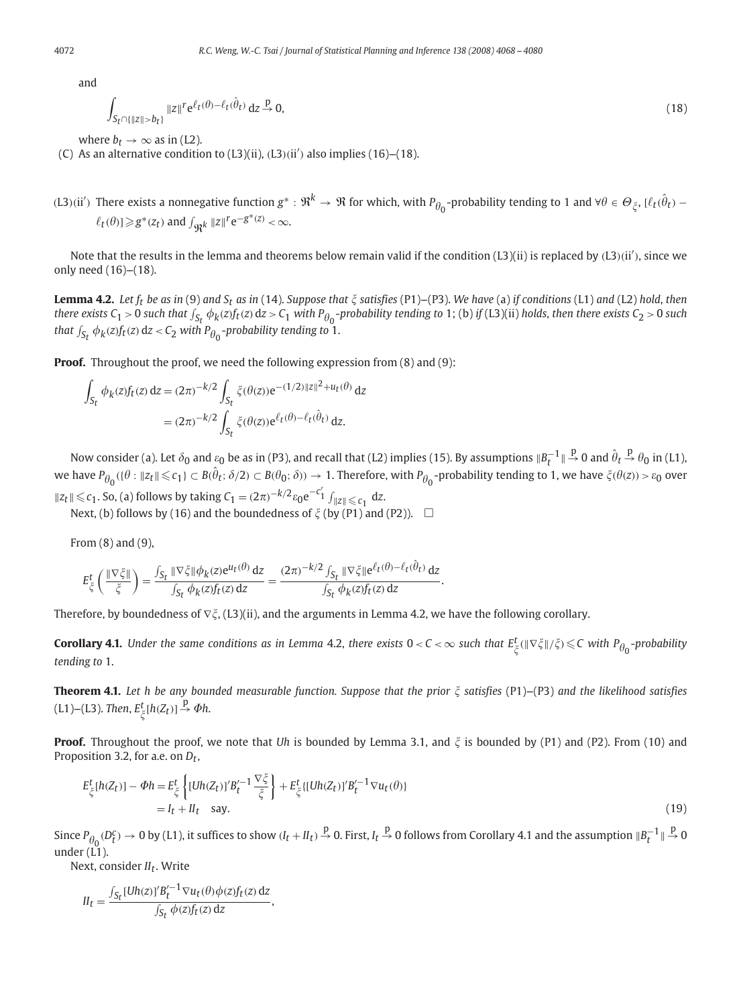and

 $\overline{1}$ 

$$
\int_{S_t \cap \{\|z\| > b_t\}} \|z\|^r e^{\ell_t(\theta) - \ell_t(\hat{\theta}_t)} dz \stackrel{p}{\to} 0,
$$
\n(18)

where  $b_t \rightarrow \infty$  as in (L2).

 $(C)$  As an alternative condition to  $(L3)(ii)$ ,  $(L3)(ii')$  also implies  $(16)$ – $(18)$ .

*(*L3*)*(ii<sup>*'*)</sup> There exists a nonnegative function  $g^*: \Re^k \to \Re$  for which, with  $P_{\theta_0}$ -probability tending to 1 and ∀ $\theta \in \Theta_{\xi}$ , [ $\ell_t(\hat{\theta}_t)$  −  $\ell_t(\theta)$ ] $\geq g^*(z_t)$  and  $\int_{\Re^k} ||z||^r e^{-g^*(z)} < \infty$ .

Note that the results in the lemma and theorems below remain valid if the condition (L3)(ii) is replaced by *(*L3*)(*ii *)*, since we only need  $(16)$ – $(18)$ .

**Lemma 4.2.** Let  $f_t$  be as in (9) and  $S_t$  as in (14). Suppose that  $\xi$  satisfies (P1)–(P3). We have (a) if conditions (L1) and (L2) hold, then there exists C<sub>1</sub> > 0 such that  $\int_{S_t} \phi_k(z) f_t(z) dz$  > C<sub>1</sub> with P<sub> $\theta_0$ </sub>-probability tending to 1; (b) if (L3)(ii) holds, then there exists C<sub>2</sub> > 0 such that  $\int_{S_t} \phi_k(z) f_t(z) dz < C_2$  with  $P_{\theta_0}$ -probability tending to  $1$ .

**Proof.** Throughout the proof, we need the following expression from  $(8)$  and  $(9)$ :

$$
\int_{S_t} \phi_k(z) f_t(z) dz = (2\pi)^{-k/2} \int_{S_t} \xi(\theta(z)) e^{-(1/2) ||z||^2 + u_t(\theta)} dz
$$
  
=  $(2\pi)^{-k/2} \int_{S_t} \xi(\theta(z)) e^{\ell_t(\theta) - \ell_t(\hat{\theta}_t)} dz.$ 

Now consider (a). Let  $\delta_0$  and  $\varepsilon_0$  be as in (P3), and recall that (L2) implies (15). By assumptions  $\|B_t^{-1}\| \stackrel{\rm p}{\to} 0$  and  $\hat\theta_t \stackrel{\rm p}{\to} \theta_0$  in (L1), we have  $P_{\theta_0}(\{\theta:\|z_t\|\leqslant c_1\}\subset B(\hat\theta_t;\delta/2)\subset B(\theta_0;\delta))\to 1.$  Therefore, with  $P_{\theta_0}$ -probability tending to 1, we have  $\zeta(\theta(z))> \varepsilon_0$  over *Iz*<sub>*t*</sub> *I* ≤ *c*<sub>1</sub>. So, (a) follows by taking *C*<sub>1</sub> =  $(2π)^{-k/2} ε_0 e^{-c'_1} f$ <sub>*Iz*<sub>1</sub> dz.</sub>

Next, (b) follows by (16) and the boundedness of  $\zeta$  (by (P1) and (P2)).  $\Box$ 

From (8) and (9),

$$
E_\xi^t\left(\frac{\|\nabla \xi\|}{\xi}\right)=\frac{\int_{S_t}\|\nabla \xi\|\phi_k(z)\mathrm{e}^{u_t(\theta)}\,\mathrm{d} z}{\int_{S_t}\phi_k(z)f_t(z)\,\mathrm{d} z}=\frac{(2\pi)^{-k/2}\int_{S_t}\|\nabla \xi\|\mathrm{e}^{\ell_t(\theta)-\ell_t(\hat\theta_t)}\,\mathrm{d} z}{\int_{S_t}\phi_k(z)f_t(z)\,\mathrm{d} z}.
$$

Therefore, by boundedness of  $\nabla \xi$ , (L3)(ii), and the arguments in Lemma 4.2, we have the following corollary.

 $\bf{Corollary 4.1.}$  *Under the same conditions as in Lemma* 4.2, *there exists*  $0 < C < \infty$  *such that*  $E^t_\zeta(\|\nabla \xi\|/\zeta) \leq C$  with  $P_{\theta_0}$ -probability *tending to* 1.

**Theorem 4.1.** Let h be any bounded measurable function. Suppose that the prior  $\xi$  satisfies (P1)-(P3) and the likelihood satisfies  $(L1)$ – $(L3)$ . *Then*,  $E^t_{\xi}[h(Z_t)] \stackrel{\text{p}}{\rightarrow} \Phi h$ .

**Proof.** Throughout the proof, we note that *Uh* is bounded by Lemma 3.1, and  $\xi$  is bounded by (P1) and (P2). From (10) and Proposition 3.2, for a.e. on *Dt*,

$$
E_{\xi}^{t}[h(Z_{t})] - \Phi h = E_{\xi}^{t}\left\{ [Uh(Z_{t})]'B_{t}^{\prime - 1} \frac{\nabla \xi}{\xi} \right\} + E_{\xi}^{t}[Uh(Z_{t})]'B_{t}^{\prime - 1}\nabla u_{t}(\theta)]
$$
  
=  $I_{t} + II_{t}$  say. (19)

Since  $P_{\theta_0}$  ( $D_t^c$ )  $\to$  0 by (L1), it suffices to show ( $I_t$  +  $I\!I_t$ )  $\stackrel{\rm p}{\to}$  0. First,  $I_t$   $\stackrel{\rm p}{\to}$  0 follows from Corollary 4.1 and the assumption  $\|B_t^{-1}\|\stackrel{\rm p}{\to}$  0 under (L1).

Next, consider *II<sub>t</sub>*. Write

$$
II_t = \frac{\int_{S_t} [Uh(z)]' B_t'^{-1} \nabla u_t(\theta) \phi(z) f_t(z) dz}{\int_{S_t} \phi(z) f_t(z) dz},
$$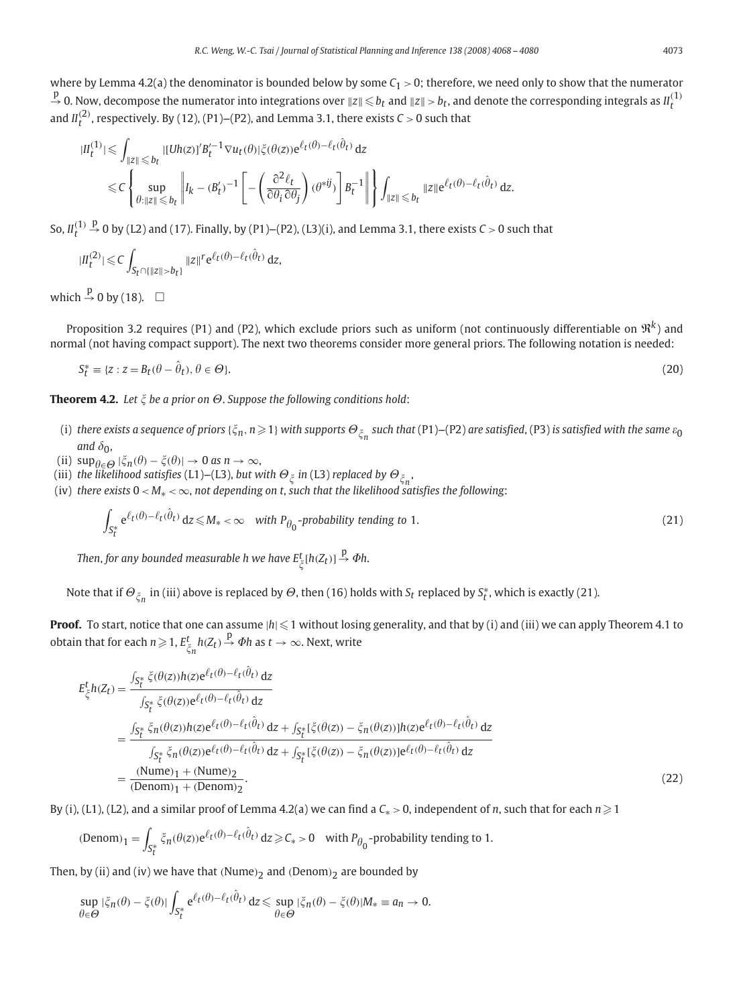where by Lemma 4.2(a) the denominator is bounded below by some  $C_1 > 0$ ; therefore, we need only to show that the numerator  $\stackrel{p}{\to}$  0. Now, decompose the numerator into integrations over  $\|z\|\leqslant b_t$  and  $\|z\|>b_t$ , and denote the corresponding integrals as  $II_t^{(1)}$ and  $II_t^{(2)}$ , respectively. By (12), (P1)–(P2), and Lemma 3.1, there exists  $C > 0$  such that

$$
|II_t^{(1)}| \leq \int_{\|z\| \leq b_t} |[Uh(z)]'B_t'^{-1} \nabla u_t(\theta)|\xi(\theta(z))e^{\ell_t(\theta) - \ell_t(\hat{\theta}_t)} dz
$$
  

$$
\leq C \left\{ \sup_{\theta: \|z\| \leq b_t} \left\| I_k - (B_t')^{-1} \left[ -\left( \frac{\partial^2 \ell_t}{\partial \theta_i \partial \theta_j} \right) (\theta^{*ij}) \right] B_t^{-1} \right\| \right\} \int_{\|z\| \leq b_t} \|z\| e^{\ell_t(\theta) - \ell_t(\hat{\theta}_t)} dz.
$$

So,  $II_t^{(1)}$  $\stackrel{p}{\rightarrow}$  0 by (L2) and (17). Finally, by (P1)–(P2), (L3)(i), and Lemma 3.1, there exists *C* > 0 such that

$$
|I_I^{(2)}| \leqslant C \int_{S_t \cap \{\|z\| > b_t\}} \|z\|^r e^{\ell_t(\theta) - \ell_t(\hat{\theta}_t)} dz,
$$

which  $\stackrel{p}{\rightarrow} 0$  by (18).  $\Box$ 

Proposition 3.2 requires (P1) and (P2), which exclude priors such as uniform (not continuously differentiable on  $\mathcal{R}^k$ ) and normal (not having compact support). The next two theorems consider more general priors. The following notation is needed:

$$
S_t^* \equiv \{z : z = B_t(\theta - \hat{\theta}_t), \theta \in \Theta\}.
$$
\n(20)

**Theorem 4.2.** Let  $\xi$  be a prior on  $\Theta$ . Suppose the following conditions hold:

- (i) there exists a sequence of priors { $\xi_n$ ,  $n\geqslant1$ } with supports  $\Theta_{\xi_n}$  such that (P1)–(P2) are satisfied, (P3) is satisfied with the same  $\varepsilon_0$ and  $\delta_{0}$ ,
- (ii)  $\sup_{\theta \in \Theta} |\xi_n(\theta) \xi(\theta)| \to 0 \text{ as } n \to \infty,$
- (iii) *the likelihood satisfies* (L1)–(L3), *but with*  $\Theta_{\xi}$  *in* (L3) *replaced by*  $\Theta_{\xi_n}$ ,
- (iv) *there exists*  $0 < M_* < \infty$ , *not depending on t*, *such that the likelihood satisfies the following*:

$$
\int_{S_t^*} e^{\ell_t(\theta) - \ell_t(\hat{\theta}_t)} dz \le M_* < \infty \quad \text{with } P_{\theta_0} \text{-probability tending to 1.}
$$
\n(21)

Then, for any bounded measurable h we have  $E^t_{\xi}[h(Z_t)] \stackrel{\text{p}}{\rightarrow} \Phi$ h.

Note that if  $\Theta_{\xi_n}$  in (iii) above is replaced by  $\Theta$ , then (16) holds with  $S_t$  replaced by  $S_t^*$ , which is exactly (21).

**Proof.** To start, notice that one can assume  $|h| \leq 1$  without losing generality, and that by (i) and (iii) we can apply Theorem 4.1 to obtain that for each  $n \geqslant 1$ ,  $E_{\breve{\zeta}_R}^t h(Z_t) \stackrel{\text{p}}{\rightarrow} \varPhi h$  as  $t \rightarrow \infty$ . Next, write

$$
E_{\zeta}^{t}h(Z_{t}) = \frac{\int_{S_{t}^{*}} \zeta(\theta(z))h(z)e^{\ell_{t}(\theta)-\ell_{t}(\hat{\theta}_{t})} dz}{\int_{S_{t}^{*}} \zeta(\theta(z))e^{\ell_{t}(\theta)-\ell_{t}(\hat{\theta}_{t})} dz}
$$
  
\n
$$
= \frac{\int_{S_{t}^{*}} \zeta_{n}(\theta(z))h(z)e^{\ell_{t}(\theta)-\ell_{t}(\hat{\theta}_{t})} dz + \int_{S_{t}^{*}} [\zeta(\theta(z)) - \zeta_{n}(\theta(z))]h(z)e^{\ell_{t}(\theta)-\ell_{t}(\hat{\theta}_{t})} dz}{\int_{S_{t}^{*}} \zeta_{n}(\theta(z))e^{\ell_{t}(\theta)-\ell_{t}(\hat{\theta}_{t})} dz + \int_{S_{t}^{*}} [\zeta(\theta(z)) - \zeta_{n}(\theta(z))]e^{\ell_{t}(\theta)-\ell_{t}(\hat{\theta}_{t})} dz}
$$
  
\n
$$
= \frac{(\text{Nume})_{1} + (\text{Nume})_{2}}{(\text{Denom})_{1} + (\text{Denom})_{2}}.
$$
 (22)

By (i), (L1), (L2), and a similar proof of Lemma 4.2(a) we can find a  $C_*>0$ , independent of *n*, such that for each  $n\geqslant 1$ 

$$
(\text{Denom})_1 = \int_{S_t^*} \xi_n(\theta(z)) e^{\ell_t(\theta) - \ell_t(\hat{\theta}_t)} dz \geq C_* > 0 \quad \text{with } P_{\theta_0}\text{-probability tending to 1.}
$$

Then, by (ii) and (iv) we have that *(*Nume*)*<sup>2</sup> and *(*Denom*)*<sup>2</sup> are bounded by

$$
\sup_{\theta \in \Theta} |\xi_n(\theta) - \xi(\theta)| \int_{S_t^*} e^{\ell_t(\theta) - \ell_t(\hat{\theta}_t)} dz \le \sup_{\theta \in \Theta} |\xi_n(\theta) - \xi(\theta)| M_* \equiv a_n \to 0.
$$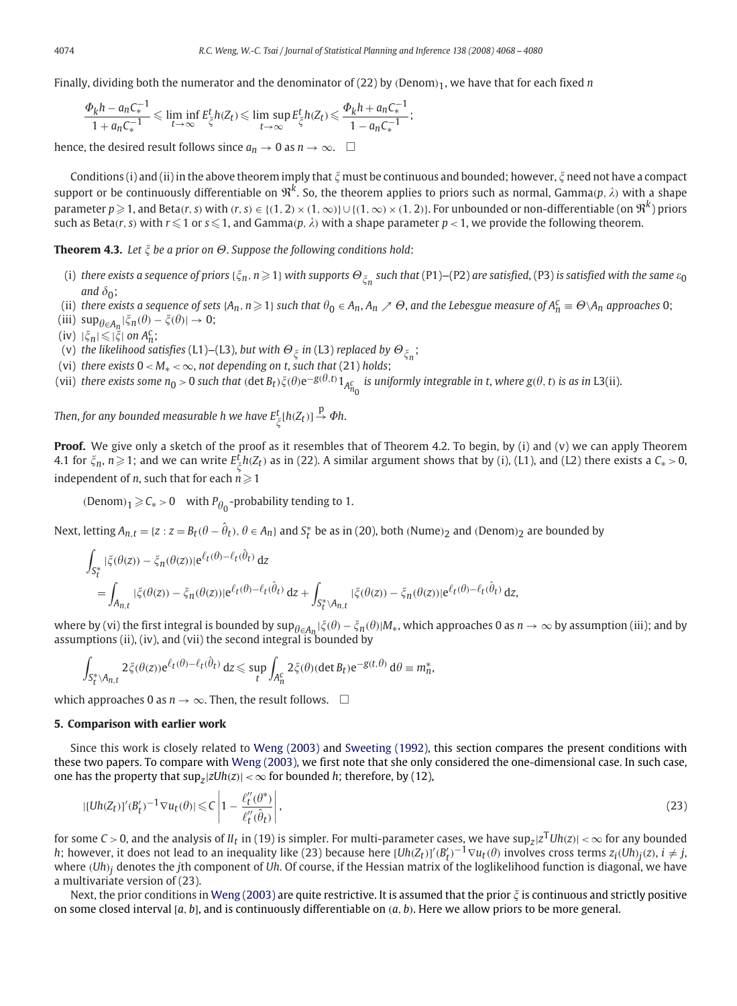Finally, dividing both the numerator and the denominator of (22) by *(*Denom*)*1, we have that for each fixed *n*

$$
\frac{\Phi_k h - a_n C_*^{-1}}{1 + a_n C_*^{-1}} \leq \liminf_{t \to \infty} E_{\xi}^t h(Z_t) \leq \limsup_{t \to \infty} E_{\xi}^t h(Z_t) \leq \frac{\Phi_k h + a_n C_*^{-1}}{1 - a_n C_*^{-1}};
$$

hence, the desired result follows since  $a_n \to 0$  as  $n \to \infty$ .  $\Box$ 

Conditions (i) and (ii) in the above theorem imply that  $\zeta$  must be continuous and bounded; however,  $\zeta$  need not have a compact support or be continuously differentiable on  $\mathfrak{R}^k$ . So, the theorem applies to priors such as normal, Gamma(p,  $\lambda$ ) with a shape parameter  $p\geqslant 1$ , and Beta(r, s) with (r, s)  $\in$  {(1, 2)  $\times$  (1,  $\infty$ )}  $\cup$  {(1,  $\infty)$   $\times$  (1, 2)}. For unbounded or non-differentiable (on  $\mathfrak{R}^k$ ) priors such as Beta(r, s) with  $r \leqslant 1$  or  $s \leqslant 1$ , and Gamma(p,  $\lambda$ ) with a shape parameter  $p < 1$ , we provide the following theorem.

**Theorem 4.3.** Let  $\xi$  be a prior on  $\Theta$ . Suppose the following conditions hold:

- (i) there exists a sequence of priors { $\xi_n$ ,  $n\geqslant1$ } with supports  $\Theta_{\xi_n}$  such that (P1)–(P2) are satisfied, (P3) is satisfied with the same  $\varepsilon_0$ and  $\delta_0$ ;
- (ii) there exists a sequence of sets {A<sub>n</sub>, n  $\geq$  1} such that  $\theta_0 \in A_n$ , A<sub>n</sub>  $\neq \Theta$ , and the Lebesgue measure of  $A_n^c \equiv \Theta \setminus A_n$  approaches 0;
- (iii)  $\sup_{\theta \in A_n} |\xi_n(\theta) \xi(\theta)| \to 0;$
- $(iv)$   $|\xi_n| \leqslant |\xi|$  on  $A_n^c$ ;
- (v) *the likelihood satisfies* (L1)–(L3), *but with*  $\Theta_{\xi}$  *in* (L3) *replaced by*  $\Theta_{\xi_n};$
- (vi) *there exists*  $0 < M_* < \infty$ , *not depending on t*, *such that* (21) *holds*;
- (vii) there exists some  $n_0 > 0$  such that ( $\det B_t$ ) $\zeta(\theta) e^{-g(\theta,t)} 1_{A_{n_0}^c}$  is uniformly integrable in t, where  $g(\theta, t)$  is as in L3(ii).

Then, for any bounded measurable h we have  $E^t_{\xi}[h(Z_t)] \stackrel{\text{p}}{\rightarrow} \varPhi$ h.

**Proof.** We give only a sketch of the proof as it resembles that of Theorem 4.2. To begin, by (i) and (v) we can apply Theorem 4.1 for  $\zeta_n$ ,  $n \geqslant 1$ ; and we can write  $E^t_{\zeta}h(Z_t)$  as in (22). A similar argument shows that by (i), (L1), and (L2) there exists a  $C_*>0$ , independent of *n*, such that for each  $n\!\geqslant\!1$ 

 $(Denom)<sub>1</sub> \geqslant C<sub>*</sub> > 0$  with *P*<sub> $\theta_0$ </sub>-probability tending to 1.

Next, letting  $A_{n,t} = \{z: z = B_t(\theta - \hat{\theta}_t), \theta \in A_n\}$  and  $S_t^*$  be as in (20), both  $(\text{Nume})_2$  and  $(\text{Denom})_2$  are bounded by

$$
\int_{S_{t}^{*}} |\xi(\theta(z)) - \xi_{n}(\theta(z))| e^{\ell_{t}(\theta) - \ell_{t}(\hat{\theta}_{t})} dz
$$
\n
$$
= \int_{A_{n,t}} |\xi(\theta(z)) - \xi_{n}(\theta(z))| e^{\ell_{t}(\theta) - \ell_{t}(\hat{\theta}_{t})} dz + \int_{S_{t}^{*} \setminus A_{n,t}} |\xi(\theta(z)) - \xi_{n}(\theta(z))| e^{\ell_{t}(\theta) - \ell_{t}(\hat{\theta}_{t})} dz,
$$

where by (vi) the first integral is bounded by  $\sup_{\theta \in A_n} |\xi(\theta) - \xi_n(\theta)| M_*$ , which approaches 0 as  $n \to \infty$  by assumption (iii); and by assumptions (ii), (iv), and (vii) the second integral is bounded by

$$
\int_{S_t^* \backslash A_{n,t}} 2 \xi(\theta(z)) e^{\ell_t(\theta) - \ell_t(\hat{\theta}_t)} dz \leq \sup_t \int_{A_n^c} 2 \xi(\theta) ( \det B_t) e^{-g(t,\theta)} d\theta \equiv m_n^*,
$$

which approaches 0 as  $n \to \infty$ . Then, the result follows.  $\square$ 

#### **5. Comparison with earlier work**

Since this work is closely related to [Weng \(2003\)](#page-12-0) and [Sweeting \(1992\),](#page-12-0) this section compares the present conditions with these two papers. To compare with [Weng \(2003\),](#page-12-0) we first note that she only considered the one-dimensional case. In such case, one has the property that  $\sup_{z} |zUh(z)| < \infty$  for bounded *h*; therefore, by (12),

$$
| [Uh(Z_t)]'(B'_t)^{-1} \nabla u_t(\theta) | \leq C \left| 1 - \frac{\ell_t''(\theta^*)}{\ell_t''(\hat{\theta}_t)} \right|,
$$
\n
$$
(23)
$$

for some *C* > 0, and the analysis of *II*<sub>t</sub> in (19) is simpler. For multi-parameter cases, we have sup<sub>*z*</sub> $|z^T U h(z)|$  <  $\infty$  for any bounded *h*; however, it does not lead to an inequality like (23) because here  $[Uh(Z_t)]'(B'_t)^{-1} \nabla u_t(\theta)$  involves cross terms  $z_i(Uh)_j(z)$ ,  $i \neq j$ , where *(Uh)j* denotes the *j*th component of *Uh*. Of course, if the Hessian matrix of the loglikelihood function is diagonal, we have a multivariate version of (23).

Next, the prior conditions in [Weng \(2003\)](#page-12-0) are quite restrictive. It is assumed that the prior  $\xi$  is continuous and strictly positive on some closed interval [*a, b*], and is continuously differentiable on *(a, b)*. Here we allow priors to be more general.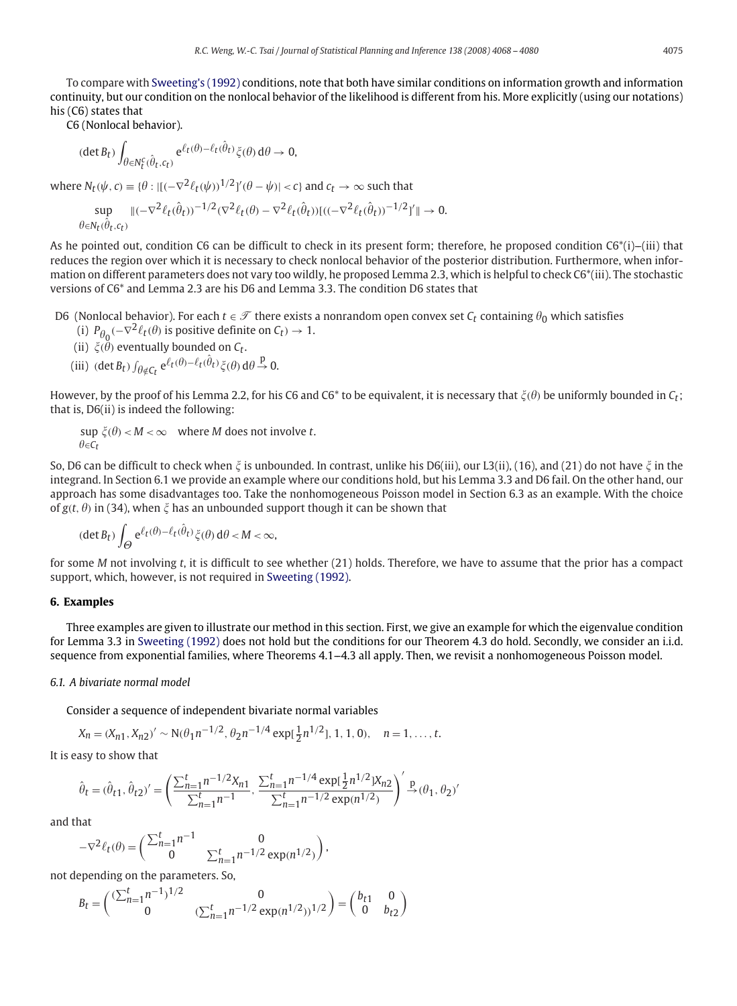To compare with [Sweeting's \(1992\)](#page-12-0) conditions, note that both have similar conditions on information growth and information continuity, but our condition on the nonlocal behavior of the likelihood is different from his. More explicitly (using our notations) his (C6) states that

C6 (Nonlocal behavior).

$$
(\det B_t) \int_{\theta \in N_t^c(\hat{\theta}_t, c_t)} e^{\ell_t(\theta) - \ell_t(\hat{\theta}_t)} \zeta(\theta) d\theta \to 0,
$$

where  $N_t(\psi, c) \equiv {\theta : |[(-\nabla^2 \ell_t(\psi))^{1/2}]'(\theta - \psi)| < c}$  and  $c_t \to \infty$  such that

$$
\sup_{\theta \in N_t(\hat{\theta}_t, c_t)} \|(-\nabla^2 \ell_t(\hat{\theta}_t))^{-1/2} (\nabla^2 \ell_t(\theta) - \nabla^2 \ell_t(\hat{\theta}_t)) [((-\nabla^2 \ell_t(\hat{\theta}_t))^{-1/2}]'] \| \to 0.
$$

As he pointed out, condition C6 can be difficult to check in its present form; therefore, he proposed condition  $C6*(i)$ –(iii) that reduces the region over which it is necessary to check nonlocal behavior of the posterior distribution. Furthermore, when information on different parameters does not vary too wildly, he proposed Lemma 2.3, which is helpful to check C6\*(iii). The stochastic versions of C6\* and Lemma 2.3 are his D6 and Lemma 3.3. The condition D6 states that

D6 (Nonlocal behavior). For each  $t \in \mathcal{T}$  there exists a nonrandom open convex set  $C_t$  containing  $\theta_0$  which satisfies

- (i)  $P_{\theta_0}(-\nabla^2 \ell_t(\theta))$  is positive definite on  $C_t$ )  $\to 1$ .
- (ii)  $\xi(\theta)$  eventually bounded on  $C_t$ .
- (iii)  $(\det B_t) \int_{\theta \notin C_t} e^{\ell_t(\theta) \ell_t(\hat{\theta}_t)} \xi(\theta) d\theta \stackrel{p}{\to} 0.$

However, by the proof of his Lemma 2.2, for his C6 and C6\* to be equivalent, it is necessary that  $\xi(\theta)$  be uniformly bounded in  $\mathcal{C}_t$ ; that is, D6(ii) is indeed the following:

 $\sup \xi(\theta) < M < \infty$  where *M* does not involve *t*.  $\theta \in C_t$ 

So, D6 can be difficult to check when  $\zeta$  is unbounded. In contrast, unlike his D6(iii), our L3(ii), (16), and (21) do not have  $\zeta$  in the integrand. In Section 6.1 we provide an example where our conditions hold, but his Lemma 3.3 and D6 fail. On the other hand, our approach has some disadvantages too. Take the nonhomogeneous Poisson model in Section 6.3 as an example. With the choice of  $g(t, \theta)$  in (34), when  $\xi$  has an unbounded support though it can be shown that

$$
(\det B_t) \int_{\Theta} e^{\ell_t(\theta) - \ell_t(\hat{\theta}_t)} \xi(\theta) d\theta < M < \infty,
$$

for some *M* not involving *t*, it is difficult to see whether (21) holds. Therefore, we have to assume that the prior has a compact support, which, however, is not required in [Sweeting \(1992\).](#page-12-0)

# **6. Examples**

Three examples are given to illustrate our method in this section. First, we give an example for which the eigenvalue condition for Lemma 3.3 in [Sweeting \(1992\)](#page-12-0) does not hold but the conditions for our Theorem 4.3 do hold. Secondly, we consider an i.i.d. sequence from exponential families, where Theorems 4.1–4.3 all apply. Then, we revisit a nonhomogeneous Poisson model.

#### *6.1. A bivariate normal model*

Consider a sequence of independent bivariate normal variables

$$
X_n = (X_{n1}, X_{n2})' \sim N(\theta_1 n^{-1/2}, \theta_2 n^{-1/4} \exp[\frac{1}{2}n^{1/2}], 1, 1, 0), \quad n = 1, ..., t.
$$

It is easy to show that

$$
\hat{\theta}_t=(\hat{\theta}_{t1},\hat{\theta}_{t2})'=\left(\frac{\sum_{n=1}^t n^{-1/2}X_{n1}}{\sum_{n=1}^t n^{-1}},\,\frac{\sum_{n=1}^t n^{-1/4}\exp[\frac{1}{2}n^{1/2}]X_{n2}}{\sum_{n=1}^t n^{-1/2}\exp(n^{1/2})}\right)'\overset{\mathbf{p}}{\to}(\theta_1,\theta_2)'
$$

 $\setminus$ ,

and that

$$
-\nabla^2 \ell_t(\theta) = \begin{pmatrix} \sum_{n=1}^t n^{-1} & 0\\ 0 & \sum_{n=1}^t n^{-1/2} \exp(n^{1/2}) \end{pmatrix}
$$

not depending on the parameters. So,

$$
B_t = \begin{pmatrix} (\sum_{n=1}^t n^{-1})^{1/2} & 0\\ 0 & (\sum_{n=1}^t n^{-1/2} \exp(n^{1/2}))^{1/2} \end{pmatrix} = \begin{pmatrix} b_{t1} & 0\\ 0 & b_{t2} \end{pmatrix}
$$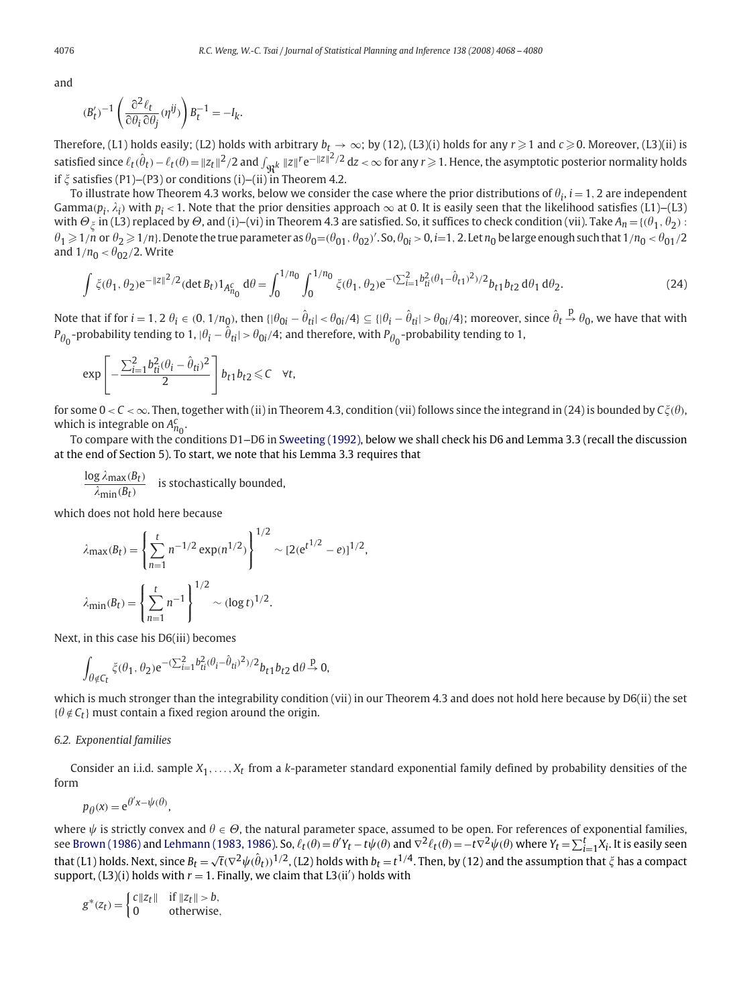and

$$
(B'_t)^{-1} \left( \frac{\partial^2 \ell_t}{\partial \theta_i \partial \theta_j} (\eta^{ij}) \right) B_t^{-1} = -I_k.
$$

Therefore, (L1) holds easily; (L2) holds with arbitrary  $b_f\to\infty;$  by (12), (L3)(i) holds for any  $r\!\geqslant\!1$  and  $c\!\geqslant\!0$ . Moreover, (L3)(ii) is satisfied since  $\ell_t(\hat{\theta}_t) - \ell_t(\theta) = \|z_t\|^2/2$  and  $\int_{\Re^k} \|z\|^{r} e^{-\|z\|^2/2} dz < \infty$  for any  $r \ge 1$ . Hence, the asymptotic posterior normality holds if  $\zeta$  satisfies (P1)–(P3) or conditions (i)–(ii) in Theorem 4.2.

To illustrate how Theorem 4.3 works, below we consider the case where the prior distributions of  $\theta_i$ ,  $i=1,2$  are independent Gamma $(p_i,\lambda_i)$  with  $p_i$  < 1. Note that the prior densities approach  $\infty$  at 0. It is easily seen that the likelihood satisfies (L1)–(L3) with  $\Theta_\xi$  in (L3) replaced by  $\Theta$ , and (i)–(vi) in Theorem 4.3 are satisfied. So, it suffices to check condition (vii). Take  $A_n$  = {( $\theta_1$ ,  $\theta_2$ ) :  $\theta_1\geqslant1/n$  or  $\theta_2\geqslant1/n$ ). Denote the true parameter as  $\theta_0=$  ( $\theta_{01}$  ,  $\theta_{02}$  )'. So,  $\theta_{0i}$   $>$  0,  $i$   $=$  1, 2. Let  $n_0$  be large enough such that 1/ $n_0$  <  $\theta_{01}$  /2 and  $1/n_0 < \theta_{02}/2$ . Write

$$
\int \xi(\theta_1, \theta_2) e^{-\|z\|^2/2} (\det B_t) 1_{A_{n_0}^c} d\theta = \int_0^{1/n_0} \int_0^{1/n_0} \xi(\theta_1, \theta_2) e^{-(\sum_{i=1}^2 b_{ti}^2 (\theta_1 - \hat{\theta}_{t1})^2)/2} b_{t1} b_{t2} d\theta_1 d\theta_2.
$$
 (24)

Note that if for  $i=1,2$   $\theta_i\in (0,1/n_0)$ , then  $\{\vert\theta_{0i}-\hat{\theta}_{ti}\vert<\theta_{0i}/4\}\subseteq \{\vert\theta_i-\hat{\theta}_{ti}\vert>\theta_{0i}/4\}$ ; moreover, since  $\hat{\theta}_t\stackrel{\rm p}{\to}\theta_0$ , we have that with  $P_{\theta_0}$ -probability tending to 1,  $|\theta_i - \hat{\theta}_{ti}|$  >  $\theta_{0i}/4$ ; and therefore, with  $P_{\theta_0}$ -probability tending to 1,

$$
\exp\left[-\frac{\sum_{i=1}^2b_{ti}^2(\theta_i-\hat{\theta}_{ti})^2}{2}\right]b_{t1}b_{t2}\leqslant C\quad\forall t,
$$

for some  $0 < C < \infty$ . Then, together with (ii) in Theorem 4.3, condition (vii) follows since the integrand in (24) is bounded by  $C\zeta(\theta)$ , which is integrable on  $A_{n_0}^c$ .

To compare with the conditions D1--D6 in [Sweeting \(1992\),](#page-12-0) below we shall check his D6 and Lemma 3.3 (recall the discussion at the end of Section 5). To start, we note that his Lemma 3.3 requires that

$$
\frac{\log \lambda_{\max}(B_t)}{\lambda_{\min}(B_t)}
$$
 is stochastically bounded,

which does not hold here because

$$
\lambda_{\max}(B_t) = \left\{ \sum_{n=1}^t n^{-1/2} \exp(n^{1/2}) \right\}^{1/2} \sim [2(e^{t^{1/2}} - e)]^{1/2},
$$
  

$$
\lambda_{\min}(B_t) = \left\{ \sum_{n=1}^t n^{-1} \right\}^{1/2} \sim (\log t)^{1/2}.
$$

Next, in this case his D6(iii) becomes

$$
\int_{\theta \notin C_t} \xi(\theta_1, \theta_2) e^{-(\sum_{i=1}^2 b_{ti}^2 (\theta_i - \hat{\theta}_{ti})^2)/2} b_{t1} b_{t2} d\theta \stackrel{p}{\rightarrow} 0,
$$

which is much stronger than the integrability condition (vii) in our Theorem 4.3 and does not hold here because by D6(ii) the set  $\{\theta \notin C_t\}$  must contain a fixed region around the origin.

#### *6.2. Exponential families*

Consider an i.i.d. sample *X*1*,...,Xt* from a *k*-parameter standard exponential family defined by probability densities of the form

$$
p_{\theta}(x) = e^{\theta' x - \psi(\theta)},
$$

where  $\psi$  is strictly convex and  $\theta\in\varTheta$ , the natural parameter space, assumed to be open. For references of exponential families, see [Brown \(1986\)](#page-12-0) and Lehmann (1983, 1986). So,  $\ell_t(\theta) = \theta' Y_t - t\psi(\theta)$  and  $\nabla^2 \ell_t(\theta) = -t\nabla^2 \psi(\theta)$  where  $Y_t = \sum_{i=1}^t X_i$ . It is easily seen that (L1) holds. Next, since  $B_t = \sqrt{t}(\nabla^2 \psi(\hat{\theta}_t))^{1/2}$ , (L2) holds with  $b_t = t^{1/4}$ . Then, by (12) and the assumption that  $\xi$  has a compact support,  $(L3)(i)$  holds with  $r = 1$ . Finally, we claim that  $L3(ii')$  holds with

$$
g^*(z_t) = \begin{cases} c\|z_t\| & \text{if } \|z_t\| > b, \\ 0 & \text{otherwise,} \end{cases}
$$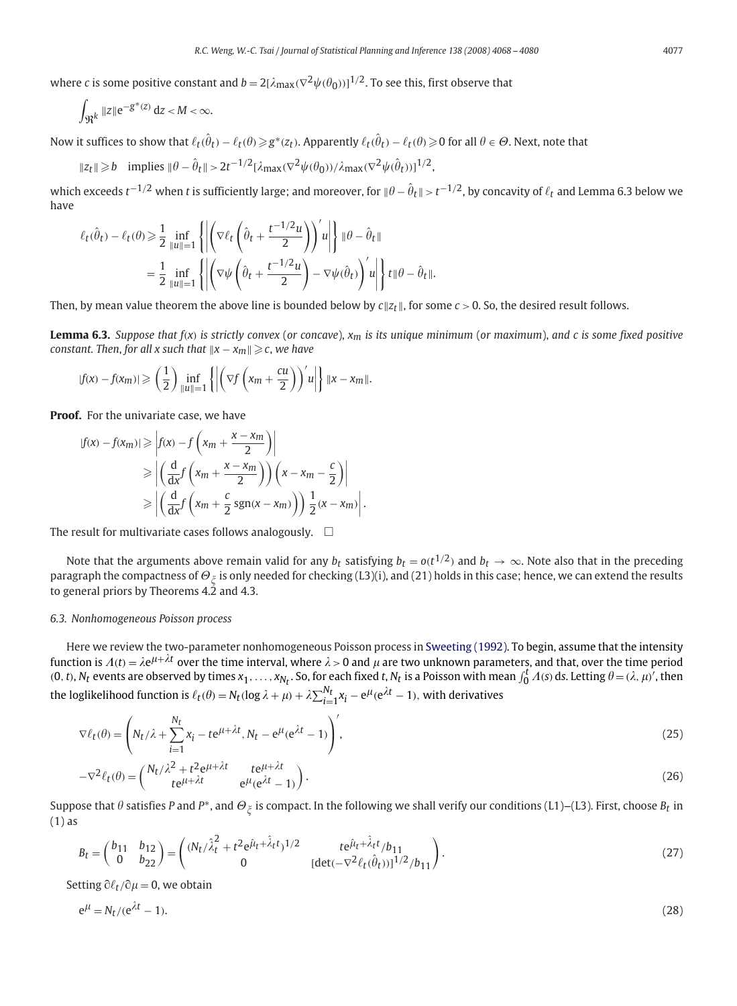where  $c$  is some positive constant and  $b=2[\lambda_{\max}(\nabla^2\psi(\theta_0))]^{1/2}.$  To see this, first observe that

$$
\int_{\Re^k} \|z\| e^{-g^*(z)} dz < M < \infty.
$$

Now it suffices to show that  $\ell_t(\hat\theta_t)-\ell_t(\theta)\!\geqslant\! g^*(z_t)$ . Apparently  $\ell_t(\hat\theta_t)-\ell_t(\theta)\!\geqslant\!0$  for all  $\theta\in\Theta.$  Next, note that

 $||z_t|| \ge b$  implies  $||\theta - \hat{\theta}_t|| > 2t^{-1/2}[\lambda_{\text{max}}(\nabla^2 \psi(\theta_0))/\lambda_{\text{max}}(\nabla^2 \psi(\hat{\theta}_t))]^{1/2}$ ,

which exceeds  $t^{-1/2}$  when  $t$  is sufficiently large; and moreover, for  $\|\theta-\hat\theta_t\|>t^{-1/2}$ , by concavity of  $\ell_t$  and Lemma 6.3 below we have

$$
\begin{aligned} \ell_t(\hat{\theta}_t) - \ell_t(\theta) &\geq \frac{1}{2} \inf_{\|u\|=1} \left\{ \left| \left( \nabla \ell_t \left( \hat{\theta}_t + \frac{t^{-1/2} u}{2} \right) \right)' u \right| \right\} \|\theta - \hat{\theta}_t\| \\ &= \frac{1}{2} \inf_{\|u\|=1} \left\{ \left| \left( \nabla \psi \left( \hat{\theta}_t + \frac{t^{-1/2} u}{2} \right) - \nabla \psi(\hat{\theta}_t) \right)' u \right| \right\} t \|\theta - \hat{\theta}_t\|. \end{aligned}
$$

Then, by mean value theorem the above line is bounded below by  $c||z_t||$ , for some  $c > 0$ . So, the desired result follows.

**Lemma 6.3.** *Suppose that f(x) is strictly convex* (*or concave*), *xm is its unique minimum* (*or maximum*), *and c is some fixed positive constant. Then*, *for all x such that x* − *xm* -*c*, *we have*

$$
|f(x)-f(x_m)| \geqslant \left(\frac{1}{2}\right)\inf_{\|u\|=1}\left\{\left|\left(\nabla f\left(x_m+\frac{cu}{2}\right)\right)' u\right|\right\}\|x-x_m\|.
$$

**Proof.** For the univariate case, we have

$$
|f(x) - f(x_m)| \ge |f(x) - f\left(x_m + \frac{x - x_m}{2}\right)|
$$
  
\n
$$
\ge \left| \left(\frac{d}{dx} f\left(x_m + \frac{x - x_m}{2}\right)\right) \left(x - x_m - \frac{c}{2}\right) \right|
$$
  
\n
$$
\ge \left| \left(\frac{d}{dx} f\left(x_m + \frac{c}{2} sgn(x - x_m)\right)\right) \frac{1}{2} (x - x_m) \right|.
$$

The result for multivariate cases follows analogously.  $\Box$ 

Note that the arguments above remain valid for any  $b_t$  satisfying  $b_t = o(t^{1/2})$  and  $b_t \to \infty$ . Note also that in the preceding paragraph the compactness of  $\Theta_{\xi}$  is only needed for checking (L3)(i), and (21) holds in this case; hence, we can extend the results to general priors by Theorems 4.2 and 4.3.

#### *6.3. Nonhomogeneous Poisson process*

Here we review the two-parameter nonhomogeneous Poisson process in [Sweeting \(1992\).](#page-12-0) To begin, assume that the intensity function is  $A(t)=\lambda e^{\mu+\lambda t}$  over the time interval, where  $\lambda>0$  and  $\mu$  are two unknown parameters, and that, over the time period (0, t),  $N_t$  events are observed by times  $x_1, \ldots, x_{N_t}$ . So, for each fixed t,  $N_t$  is a Poisson with mean  $\int_0^t \Lambda(s) \, ds$ . Letting  $\theta = (\lambda, \mu)'$ , then the loglikelihood function is  $\ell_t(\theta) = N_t(\log \lambda + \mu) + \lambda \sum_{i=1}^{N_t} x_i - e^{\mu}(e^{\lambda t} - 1)$ , with derivatives

$$
\nabla \ell_t(\theta) = \left( N_t / \lambda + \sum_{i=1}^{N_t} x_i - t e^{\mu + \lambda t}, N_t - e^{\mu} (e^{\lambda t} - 1) \right),
$$
\n(25)

$$
-\nabla^2 \ell_t(\theta) = \begin{pmatrix} N_t/\lambda^2 + t^2 e^{\mu + \lambda t} & t e^{\mu + \lambda t} \\ t e^{\mu + \lambda t} & e^{\mu} (e^{\lambda t} - 1) \end{pmatrix}.
$$
 (26)

Suppose that  $\theta$  satisfies  $P$  and  $P^*$ , and  $\Theta_\xi$  is compact. In the following we shall verify our conditions (L1)–(L3). First, choose  $B_t$  in (1) as

$$
B_t = \begin{pmatrix} b_{11} & b_{12} \\ 0 & b_{22} \end{pmatrix} = \begin{pmatrix} (N_t/\lambda_t^2 + t^2 e^{\hat{\mu}_t + \hat{\lambda}_t t})^{1/2} & t e^{\hat{\mu}_t + \hat{\lambda}_t t}/b_{11} \\ 0 & [det(-\nabla^2 \ell_t(\hat{\theta}_t))]^{1/2}/b_{11} \end{pmatrix}.
$$
 (27)

Setting  $\partial \ell_t / \partial \mu = 0$ , we obtain

$$
e^{\mu} = N_t / (e^{\lambda t} - 1). \tag{28}
$$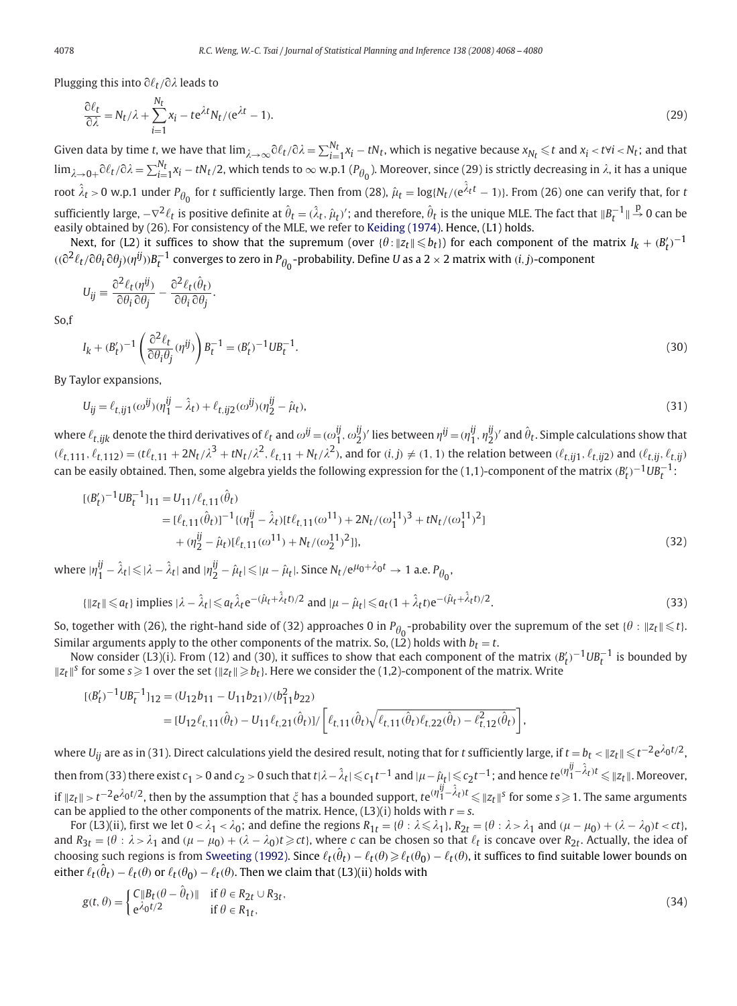Plugging this into  $\partial \ell_t / \partial \lambda$  leads to

$$
\frac{\partial \ell_t}{\partial \lambda} = N_t / \lambda + \sum_{i=1}^{N_t} x_i - t e^{\lambda t} N_t / (e^{\lambda t} - 1).
$$
\n(29)

Given data by time *t*, we have that  $\lim_{\lambda\to\infty}$   $\partial\ell_t/\partial\lambda = \sum_{i=1}^{N_t}x_i-tN_t$ , which is negative because  $x_{N_t}\leqslant t$  and  $x_i<$  t $\forall i<$   $N_t$ ; and that  $\lim_{\lambda\to 0+}\partial\ell_t/\partial\lambda=\sum_{i=1}^{N_t}x_i-tN_t/2$ , which tends to  $\infty$  w.p.1 ( $P_{\theta_0}$ ). Moreover, since (29) is strictly decreasing in  $\lambda$ , it has a unique root  $\hat{\lambda}_t$  > 0 w.p.1 under  $P_{\theta_0}$  for *t* sufficiently large. Then from (28),  $\hat{\mu}_t = \log\{N_t/(e^{\hat{\lambda}_t t}-1)\}$ . From (26) one can verify that, for *t*  $\sin$  sufficiently large,  $-\nabla^2\ell_t$  is positive definite at  $\hat{\theta}_t=(\hat{\lambda}_t,\hat{\mu}_t)'$ ; and therefore,  $\hat{\theta}_t$  is the unique MLE. The fact that  $\|B_t^{-1}\|\stackrel{\mathrm{p}}{\to} 0$  can be easily obtained by (26). For consistency of the MLE, we refer to [Keiding \(1974\).](#page-12-0) Hence, (L1) holds.

Next, for (L2) it suffices to show that the supremum (over  $\{\theta: \|z_t\| \leq b_t\}$ ) for each component of the matrix  $I_k + (B_t')^{-1}$  $((\partial^2 \ell_t/\partial \theta_i \partial \theta_j)(\eta^{ij}))B_t^{-1}$  converges to zero in  $P_{\theta_0}$ -probability. Define *U* as a 2  $\times$  2 matrix with *(i, j)*-component

$$
U_{ij} \equiv \frac{\partial^2 \ell_t(\eta^{ij})}{\partial \theta_i \partial \theta_j} - \frac{\partial^2 \ell_t(\hat{\theta}_t)}{\partial \theta_i \partial \theta_j}.
$$

So,f

$$
I_k + (B'_t)^{-1} \left( \frac{\partial^2 \ell_t}{\partial \theta_i \theta_j} (\eta^{ij}) \right) B_t^{-1} = (B'_t)^{-1} U B_t^{-1}.
$$
\n(30)

By Taylor expansions,

$$
U_{ij} = \ell_{t,ij1}(\omega^{ij})(\eta_1^{ij} - \hat{\lambda}_t) + \ell_{t,ij2}(\omega^{ij})(\eta_2^{ij} - \hat{\mu}_t),
$$
\n(31)

where  $\ell_{t,ijk}$  denote the third derivatives of  $\ell_t$  and  $\omega^{ij}$   $=$   $(\omega^{ij}_1,\omega^{ij}_2)'$  lies between  $\eta^{ij}$   $=$   $(\eta^{ij}_1,\eta^{ij}_2)'$  and  $\hat{\theta}_t$ . Simple calculations show that  $(\ell_{t,111}, \ell_{t,112}) = (t\ell_{t,11} + 2N_t/\lambda^3 + tN_t/\lambda^2, \ell_{t,11} + N_t/\lambda^2)$ , and for  $(i,j) \neq (1,1)$  the relation between  $(\ell_{t,ij1}, \ell_{t,ij2})$  and  $(\ell_{t,ij}, \ell_{t,ij})$  $t$  can be easily obtained. Then, some algebra yields the following expression for the (1,1)-component of the matrix  $(b_t')^{-1}Ub_t^{-1}$ :

$$
\begin{split} [(B'_t)^{-1}UB_t^{-1}]_{11} &= U_{11}/\ell_{t,11}(\hat{\theta}_t) \\ &= [\ell_{t,11}(\hat{\theta}_t)]^{-1} \{ (\eta_1^{ij} - \hat{\lambda}_t)[t\ell_{t,11}(\omega^{11}) + 2N_t/(\omega_1^{11})^3 + tN_t/(\omega_1^{11})^2] \\ &\quad + (\eta_2^{ij} - \hat{\mu}_t)[\ell_{t,11}(\omega^{11}) + N_t/(\omega_2^{11})^2] \}, \end{split} \tag{32}
$$

where  $|\eta_1^{ij} - \hat{\lambda}_t| \leq |\lambda - \hat{\lambda}_t|$  and  $|\eta_2^{ij} - \hat{\mu}_t| \leq |\mu - \hat{\mu}_t|$ . Since  $N_t/e^{\mu_0 + \lambda_0 t} \to 1$  a.e.  $P_{\theta_0}$ ,

$$
\{||z_t|| \leq a_t\} \text{ implies } |\lambda - \hat{\lambda}_t| \leq a_t \hat{\lambda}_t e^{-(\hat{\mu}_t + \hat{\lambda}_t t)/2} \text{ and } |\mu - \hat{\mu}_t| \leq a_t (1 + \hat{\lambda}_t t) e^{-(\hat{\mu}_t + \hat{\lambda}_t t)/2}.
$$
 (33)

So, together with (26), the right-hand side of (32) approaches 0 in  $P_{\theta_0}$ -probability over the supremum of the set { $\theta$  :  $\|z_t\|$   $\leqslant$  t}. Similar arguments apply to the other components of the matrix. So, (L2) holds with  $b_t = t$ .

Now consider (L3)(i). From (12) and (30), it suffices to show that each component of the matrix  $(B'_t)^{-1} U B_t^{-1}$  is bounded by  $||z_t||^S$  for some  $s \geqslant 1$  over the set  $\{||z_t|| \geqslant b_t\}$ . Here we consider the (1,2)-component of the matrix. Write

$$
\begin{split} [(B'_t)^{-1}UB_t^{-1}]_{12} &= (U_{12}b_{11} - U_{11}b_{21})/(b_{11}^2b_{22}) \\ &= [U_{12}\ell_{t,11}(\hat{\theta}_t) - U_{11}\ell_{t,21}(\hat{\theta}_t)]/\left[\ell_{t,11}(\hat{\theta}_t)\sqrt{\ell_{t,11}(\hat{\theta}_t)\ell_{t,22}(\hat{\theta}_t) - \ell_{t,12}^2(\hat{\theta}_t)}\right], \end{split}
$$

where  $U_{ij}$  are as in (31). Direct calculations yield the desired result, noting that for  $t$  sufficiently large, if  $t=b_t<$   $\|z_t\|\leqslant t^{-2}\mathrm{e}^{\lambda_0 t/2}$ , then from (33) there exist  $c_1>0$  and  $c_2>0$  such that  $t|\lambda-\hat\lambda_t|\leqslant c_1t^{-1}$  and  $|\mu-\hat\mu_t|\leqslant c_2t^{-1}$ ; and hence  $t$ e $\frac{(\eta_1^{ij}-\hat\lambda_t)t}{\leqslant} \leqslant \|z_t\|.$  Moreover, if  $||z_t|| > t^{-2}e^{\lambda_0 t/2}$ , then by the assumption that ξ has a bounded support,  $te^{(\eta_1^{\it i}-\hat\lambda_t)t}$ ≤  $||z_t||^s$  for some *s* ≥ 1. The same arguments can be applied to the other components of the matrix. Hence,  $(L3)(i)$  holds with  $r = s$ .

For (L3)(ii), first we let  $0 < \lambda_1 < \lambda_0$ ; and define the regions  $R_{1t} = \{\theta : \lambda \leq \lambda_1\}$ ,  $R_{2t} = \{\theta : \lambda > \lambda_1 \text{ and } (\mu - \mu_0) + (\lambda - \lambda_0)t < ct\}$ , and  $R_{3t} = \{\theta : \lambda > \lambda_1 \text{ and } (\mu - \mu_0) + (\lambda - \lambda_0)t \geq ct\}$ , where *c* can be chosen so that  $\ell_t$  is concave over  $R_{2t}$ . Actually, the idea of choosing such regions is from [Sweeting \(1992\).](#page-12-0) Since  $\ell_t(\hat\theta_t)-\ell_t(\theta)\geqslant\ell_t(\theta_0)-\ell_t(\theta)$ , it suffices to find suitable lower bounds on either  $\ell_t(\hat{\theta}_t) - \ell_t(\theta)$  or  $\ell_t(\theta_0) - \ell_t(\theta)$ . Then we claim that (L3)(ii) holds with

$$
g(t, \theta) = \begin{cases} C\|B_t(\theta - \hat{\theta}_t)\| & \text{if } \theta \in R_{2t} \cup R_{3t}, \\ e^{\lambda_0 t/2} & \text{if } \theta \in R_{1t}, \end{cases}
$$
(34)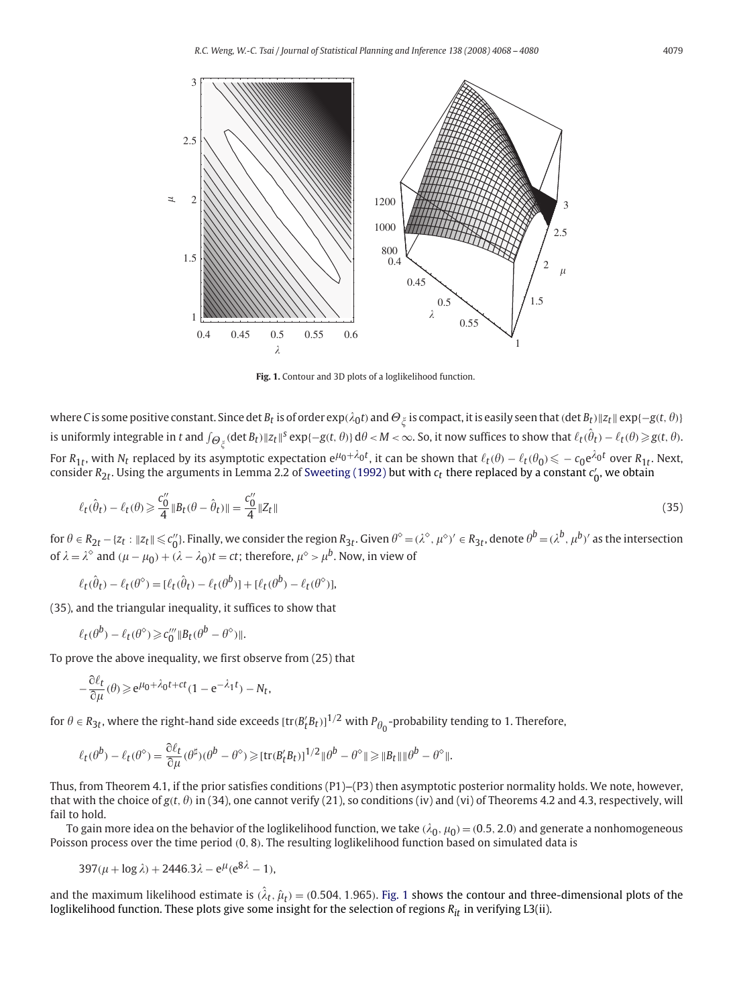

**Fig. 1.** Contour and 3D plots of a loglikelihood function.

where  $C$  is some positive constant. Since det  $B_t$  is of order  $\exp(\lambda_0 t)$  and  $\Theta_\xi$  is compact, it is easily seen that (det  $B_t$ )  $\|z_t\|$   $\exp\{-g(t,\theta)\}$ is uniformly integrable in  $t$  and  $\int_{\Theta_{\xi}^{\times}}(\det B_{t})\|z_{t}\|^{s}\exp\{-g(t,\theta)\}\,\mathrm{d}\theta < M < \infty.$  So, it now suffices to show that  $\ell_{t}(\hat{\theta}_{t})-\ell_{t}(\theta)\!\geqslant\! g(t,\theta).$ For  $R_{1t}$ , with  $N_t$  replaced by its asymptotic expectation  $e^{\mu_0+\lambda_0t}$ , it can be shown that  $\ell_t(\theta)-\ell_t(\theta_0)\leqslant -c_0e^{\lambda_0t}$  over  $R_{1t}$ . Next, consider  $R_{2t}$ . Using the arguments in Lemma 2.2 of [Sweeting \(1992\)](#page-12-0) but with  $c_t$  there replaced by a constant  $c'_0$ , we obtain

$$
\ell_t(\hat{\theta}_t) - \ell_t(\theta) \ge \frac{c_0''}{4} \|B_t(\theta - \hat{\theta}_t)\| = \frac{c_0''}{4} \|Z_t\|
$$
\n(35)

for  $\theta \in R_{2t} - \{z_t : ||z_t|| \leqslant c_0''\}$ . Finally, we consider the region  $R_{3t}$ . Given  $\theta^\circ = (\lambda^\circ, \mu^\circ)' \in R_{3t}$ , denote  $\theta^b = (\lambda^b, \mu^b)'$  as the intersection of  $\lambda = \lambda^{\circ}$  and  $(\mu - \mu_0) + (\lambda - \lambda_0)t = ct$ ; therefore,  $\mu^{\circ} > \mu^b$ . Now, in view of

$$
\ell_t(\hat{\theta}_t) - \ell_t(\theta^\diamond) = [\ell_t(\hat{\theta}_t) - \ell_t(\theta^b)] + [\ell_t(\theta^b) - \ell_t(\theta^\diamond)],
$$

(35), and the triangular inequality, it suffices to show that

$$
\ell_t(\theta^b) - \ell_t(\theta^{\diamond}) \geq c_0''' \|B_t(\theta^b - \theta^{\diamond})\|.
$$

To prove the above inequality, we first observe from (25) that

$$
-\frac{\partial \ell_t}{\partial \mu}(\theta) \geq e^{\mu_0 + \lambda_0 t + ct} (1 - e^{-\lambda_1 t}) - N_t,
$$

for  $\theta \in R_{3t}$ , where the right-hand side exceeds  $[\text{tr}(B_t'B_t)]^{1/2}$  with  $P_{\theta_0}$ -probability tending to 1. Therefore,

$$
\ell_t(\theta^b) - \ell_t(\theta^{\diamond}) = \frac{\partial \ell_t}{\partial \mu}(\theta^{\sharp})(\theta^b - \theta^{\diamond}) \geqslant [\text{tr}(B_t^{\prime}B_t)]^{1/2} \|\theta^b - \theta^{\diamond}\| \geqslant \|B_t\| \|\theta^b - \theta^{\diamond}\|.
$$

Thus, from Theorem 4.1, if the prior satisfies conditions  $(P1)$ – $(P3)$  then asymptotic posterior normality holds. We note, however, that with the choice of  $g(t, \theta)$  in (34), one cannot verify (21), so conditions (iv) and (vi) of Theorems 4.2 and 4.3, respectively, will fail to hold.

To gain more idea on the behavior of the loglikelihood function, we take  $(\lambda_0,\mu_0)$  =  $(0.5,2.0)$  and generate a nonhomogeneous Poisson process over the time period *(*0*,* 8*)*. The resulting loglikelihood function based on simulated data is

$$
397(\mu + \log \lambda) + 2446.3\lambda - e^{\mu}(e^{8\lambda} - 1),
$$

and the maximum likelihood estimate is  $(\hat{\lambda}_t,\hat{\mu}_t)$  = (0.504, 1.965). Fig. 1 shows the contour and three-dimensional plots of the loglikelihood function. These plots give some insight for the selection of regions  $R_{it}$  in verifying L3(ii).